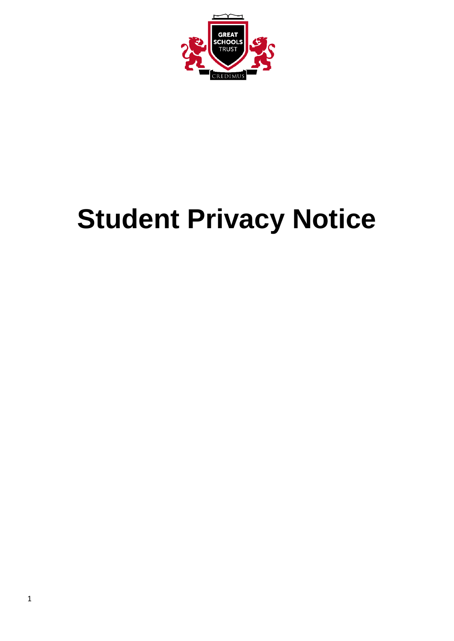

# **Student Privacy Notice**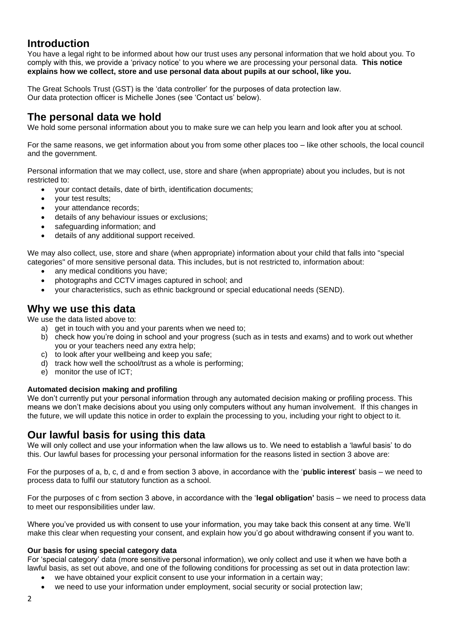# **Introduction**

You have a legal right to be informed about how our trust uses any personal information that we hold about you. To comply with this, we provide a 'privacy notice' to you where we are processing your personal data. **This notice explains how we collect, store and use personal data about pupils at our school, like you.**

The Great Schools Trust (GST) is the 'data controller' for the purposes of data protection law. Our data protection officer is Michelle Jones (see 'Contact us' below).

# **The personal data we hold**

We hold some personal information about you to make sure we can help you learn and look after you at school.

For the same reasons, we get information about you from some other places too – like other schools, the local council and the government.

Personal information that we may collect, use, store and share (when appropriate) about you includes, but is not restricted to:

- your contact details, date of birth, identification documents;
- your test results;
- your attendance records;
- details of any behaviour issues or exclusions;
- safeguarding information; and
- details of any additional support received.

We may also collect, use, store and share (when appropriate) information about your child that falls into "special categories" of more sensitive personal data. This includes, but is not restricted to, information about:

- any medical conditions you have;
- photographs and CCTV images captured in school; and
- your characteristics, such as ethnic background or special educational needs (SEND).

### **Why we use this data**

We use the data listed above to:

- a) get in touch with you and your parents when we need to;
- b) check how you're doing in school and your progress (such as in tests and exams) and to work out whether you or your teachers need any extra help;
- c) to look after your wellbeing and keep you safe;
- d) track how well the school/trust as a whole is performing;
- e) monitor the use of ICT;

#### **Automated decision making and profiling**

We don't currently put your personal information through any automated decision making or profiling process. This means we don't make decisions about you using only computers without any human involvement. If this changes in the future, we will update this notice in order to explain the processing to you, including your right to object to it.

## **Our lawful basis for using this data**

We will only collect and use your information when the law allows us to. We need to establish a 'lawful basis' to do this. Our lawful bases for processing your personal information for the reasons listed in section 3 above are:

For the purposes of a, b, c, d and e from section 3 above, in accordance with the '**public interest**' basis – we need to process data to fulfil our statutory function as a school.

For the purposes of c from section 3 above, in accordance with the '**legal obligation'** basis – we need to process data to meet our responsibilities under law.

Where you've provided us with consent to use your information, you may take back this consent at any time. We'll make this clear when requesting your consent, and explain how you'd go about withdrawing consent if you want to.

#### **Our basis for using special category data**

For 'special category' data (more sensitive personal information), we only collect and use it when we have both a lawful basis, as set out above, and one of the following conditions for processing as set out in data protection law:

- we have obtained your explicit consent to use your information in a certain way;
- we need to use your information under employment, social security or social protection law;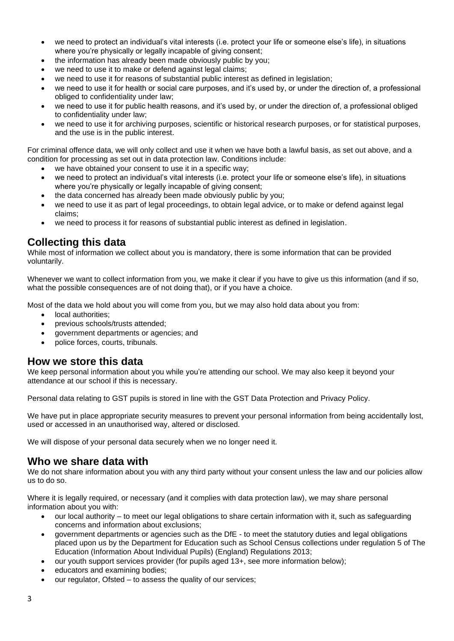- we need to protect an individual's vital interests (i.e. protect your life or someone else's life), in situations where you're physically or legally incapable of giving consent;
- the information has already been made obviously public by you;
- we need to use it to make or defend against legal claims;
- we need to use it for reasons of substantial public interest as defined in legislation;
- we need to use it for health or social care purposes, and it's used by, or under the direction of, a professional obliged to confidentiality under law;
- we need to use it for public health reasons, and it's used by, or under the direction of, a professional obliged to confidentiality under law;
- we need to use it for archiving purposes, scientific or historical research purposes, or for statistical purposes, and the use is in the public interest.

For criminal offence data, we will only collect and use it when we have both a lawful basis, as set out above, and a condition for processing as set out in data protection law. Conditions include:

- we have obtained your consent to use it in a specific way;
- we need to protect an individual's vital interests (i.e. protect your life or someone else's life), in situations where you're physically or legally incapable of giving consent;
- the data concerned has already been made obviously public by you;
- we need to use it as part of legal proceedings, to obtain legal advice, or to make or defend against legal claims;
- we need to process it for reasons of substantial public interest as defined in legislation.

## **Collecting this data**

While most of information we collect about you is mandatory, there is some information that can be provided voluntarily.

Whenever we want to collect information from you, we make it clear if you have to give us this information (and if so, what the possible consequences are of not doing that), or if you have a choice.

Most of the data we hold about you will come from you, but we may also hold data about you from:

- local authorities;
- previous schools/trusts attended;
- government departments or agencies; and
- police forces, courts, tribunals.

## **How we store this data**

We keep personal information about you while you're attending our school. We may also keep it beyond your attendance at our school if this is necessary.

Personal data relating to GST pupils is stored in line with the GST Data Protection and Privacy Policy.

We have put in place appropriate security measures to prevent your personal information from being accidentally lost, used or accessed in an unauthorised way, altered or disclosed.

We will dispose of your personal data securely when we no longer need it.

## **Who we share data with**

We do not share information about you with any third party without your consent unless the law and our policies allow us to do so.

Where it is legally required, or necessary (and it complies with data protection law), we may share personal information about you with:

- our local authority to meet our legal obligations to share certain information with it, such as safeguarding concerns and information about exclusions;
- government departments or agencies such as the DfE to meet the statutory duties and legal obligations placed upon us by the Department for Education such as School Census collections under regulation 5 of The Education (Information About Individual Pupils) (England) Regulations 2013;
- our youth support services provider (for pupils aged 13+, see more information below);
- educators and examining bodies;
- our regulator, Ofsted to assess the quality of our services;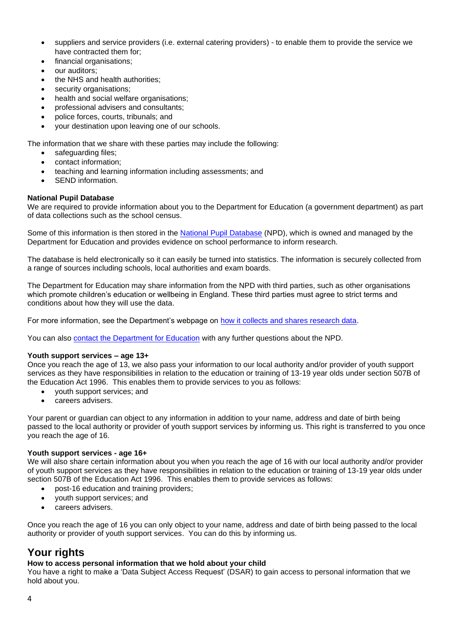- suppliers and service providers (i.e. external catering providers) to enable them to provide the service we have contracted them for;
- financial organisations;
- our auditors:
- the NHS and health authorities;
- security organisations;
- health and social welfare organisations:
- professional advisers and consultants;
- police forces, courts, tribunals; and
- your destination upon leaving one of our schools.

The information that we share with these parties may include the following:

- safeguarding files;
- contact information;
- teaching and learning information including assessments; and
- SEND information.

#### **National Pupil Database**

We are required to provide information about you to the Department for Education (a government department) as part of data collections such as the school census.

Some of this information is then stored in the [National Pupil Database](https://www.gov.uk/government/collections/national-pupil-database) (NPD), which is owned and managed by the Department for Education and provides evidence on school performance to inform research.

The database is held electronically so it can easily be turned into statistics. The information is securely collected from a range of sources including schools, local authorities and exam boards.

The Department for Education may share information from the NPD with third parties, such as other organisations which promote children's education or wellbeing in England. These third parties must agree to strict terms and conditions about how they will use the data.

For more information, see the Department's webpage on [how it collects and shares research data.](https://www.gov.uk/data-protection-how-we-collect-and-share-research-data)

You can also [contact the Department for Education](https://www.gov.uk/contact-dfe) with any further questions about the NPD.

#### **Youth support services – age 13+**

Once you reach the age of 13, we also pass your information to our local authority and/or provider of youth support services as they have responsibilities in relation to the education or training of 13-19 year olds under section 507B of the Education Act 1996. This enables them to provide services to you as follows:

- youth support services; and
- careers advisers.

Your parent or guardian can object to any information in addition to your name, address and date of birth being passed to the local authority or provider of youth support services by informing us. This right is transferred to you once you reach the age of 16.

#### **Youth support services - age 16+**

We will also share certain information about you when you reach the age of 16 with our local authority and/or provider of youth support services as they have responsibilities in relation to the education or training of 13-19 year olds under section 507B of the Education Act 1996. This enables them to provide services as follows:

- post-16 education and training providers;
- youth support services; and
- careers advisers.

Once you reach the age of 16 you can only object to your name, address and date of birth being passed to the local authority or provider of youth support services. You can do this by informing us.

# **Your rights**

#### **How to access personal information that we hold about your child**

You have a right to make a 'Data Subject Access Request' (DSAR) to gain access to personal information that we hold about you.